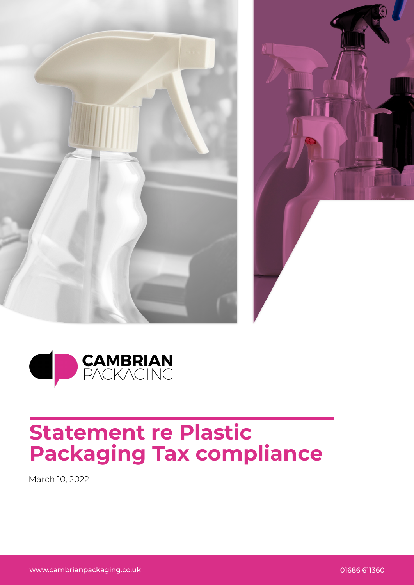





## **Statement re Plastic Packaging Tax compliance**

March 10, 2022